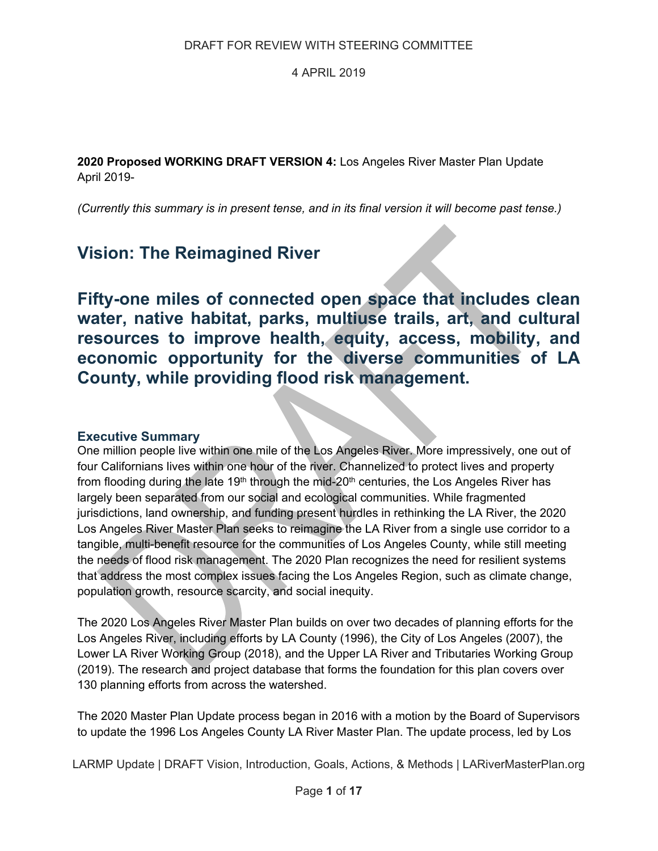**2020 Proposed WORKING DRAFT VERSION 4:** Los Angeles River Master Plan Update April 2019-

*(Currently this summary is in present tense, and in its final version it will become past tense.)* 

# **Vision: The Reimagined River**

**Fifty-one miles of connected open space that includes clean water, native habitat, parks, multiuse trails, art, and cultural resources to improve health, equity, access, mobility, and economic opportunity for the diverse communities of LA County, while providing flood risk management.** 

# **Executive Summary**

One million people live within one mile of the Los Angeles River. More impressively, one out of four Californians lives within one hour of the river. Channelized to protect lives and property from flooding during the late 19<sup>th</sup> through the mid-20<sup>th</sup> centuries, the Los Angeles River has largely been separated from our social and ecological communities. While fragmented jurisdictions, land ownership, and funding present hurdles in rethinking the LA River, the 2020 Los Angeles River Master Plan seeks to reimagine the LA River from a single use corridor to a tangible, multi-benefit resource for the communities of Los Angeles County, while still meeting the needs of flood risk management. The 2020 Plan recognizes the need for resilient systems that address the most complex issues facing the Los Angeles Region, such as climate change, population growth, resource scarcity, and social inequity.

The 2020 Los Angeles River Master Plan builds on over two decades of planning efforts for the Los Angeles River, including efforts by LA County (1996), the City of Los Angeles (2007), the Lower LA River Working Group (2018), and the Upper LA River and Tributaries Working Group (2019). The research and project database that forms the foundation for this plan covers over 130 planning efforts from across the watershed.

The 2020 Master Plan Update process began in 2016 with a motion by the Board of Supervisors to update the 1996 Los Angeles County LA River Master Plan. The update process, led by Los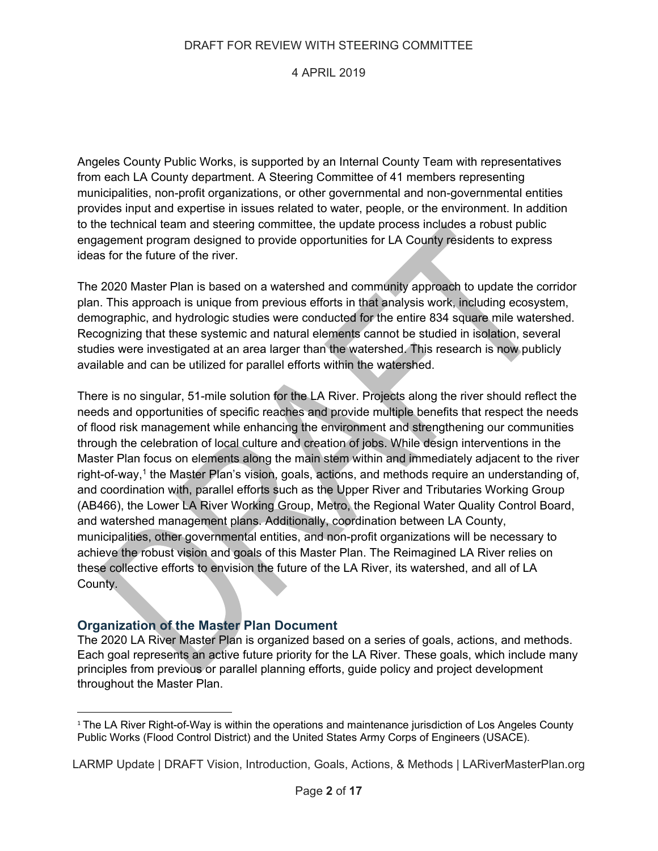# 4 APRIL 2019

Angeles County Public Works, is supported by an Internal County Team with representatives from each LA County department. A Steering Committee of 41 members representing municipalities, non-profit organizations, or other governmental and non-governmental entities provides input and expertise in issues related to water, people, or the environment. In addition to the technical team and steering committee, the update process includes a robust public engagement program designed to provide opportunities for LA County residents to express ideas for the future of the river.

The 2020 Master Plan is based on a watershed and community approach to update the corridor plan. This approach is unique from previous efforts in that analysis work, including ecosystem, demographic, and hydrologic studies were conducted for the entire 834 square mile watershed. Recognizing that these systemic and natural elements cannot be studied in isolation, several studies were investigated at an area larger than the watershed. This research is now publicly available and can be utilized for parallel efforts within the watershed.

There is no singular, 51-mile solution for the LA River. Projects along the river should reflect the needs and opportunities of specific reaches and provide multiple benefits that respect the needs of flood risk management while enhancing the environment and strengthening our communities through the celebration of local culture and creation of jobs. While design interventions in the Master Plan focus on elements along the main stem within and immediately adjacent to the river right-of-way,1 the Master Plan's vision, goals, actions, and methods require an understanding of, and coordination with, parallel efforts such as the Upper River and Tributaries Working Group (AB466), the Lower LA River Working Group, Metro, the Regional Water Quality Control Board, and watershed management plans. Additionally, coordination between LA County, municipalities, other governmental entities, and non-profit organizations will be necessary to achieve the robust vision and goals of this Master Plan. The Reimagined LA River relies on these collective efforts to envision the future of the LA River, its watershed, and all of LA County.

# **Organization of the Master Plan Document**

The 2020 LA River Master Plan is organized based on a series of goals, actions, and methods. Each goal represents an active future priority for the LA River. These goals, which include many principles from previous or parallel planning efforts, guide policy and project development throughout the Master Plan.

 <sup>1</sup> The LA River Right-of-Way is within the operations and maintenance jurisdiction of Los Angeles County Public Works (Flood Control District) and the United States Army Corps of Engineers (USACE).

LARMP Update | DRAFT Vision, Introduction, Goals, Actions, & Methods | LARiverMasterPlan.org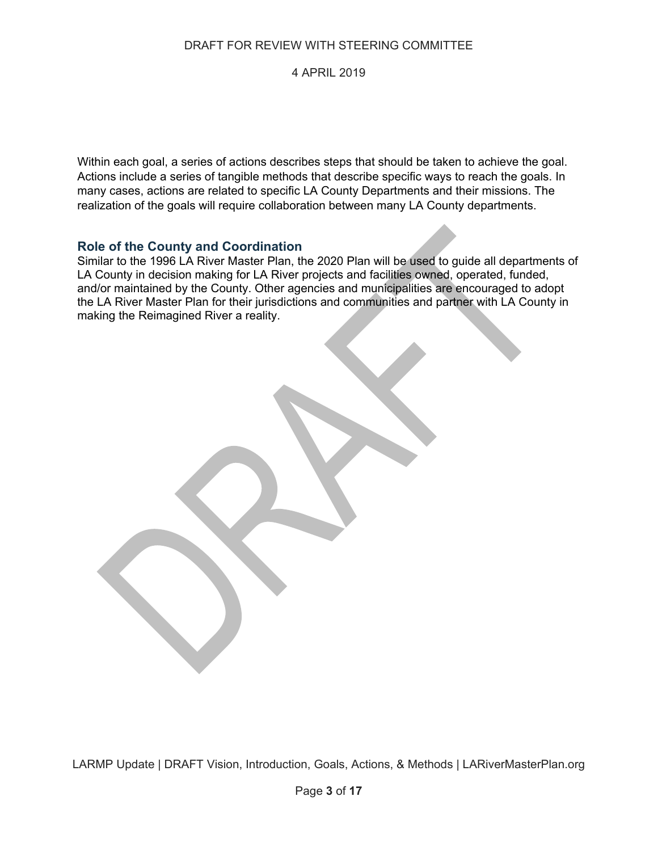# 4 APRIL 2019

Within each goal, a series of actions describes steps that should be taken to achieve the goal. Actions include a series of tangible methods that describe specific ways to reach the goals. In many cases, actions are related to specific LA County Departments and their missions. The realization of the goals will require collaboration between many LA County departments.

# **Role of the County and Coordination**

Similar to the 1996 LA River Master Plan, the 2020 Plan will be used to guide all departments of LA County in decision making for LA River projects and facilities owned, operated, funded, and/or maintained by the County. Other agencies and municipalities are encouraged to adopt the LA River Master Plan for their jurisdictions and communities and partner with LA County in making the Reimagined River a reality.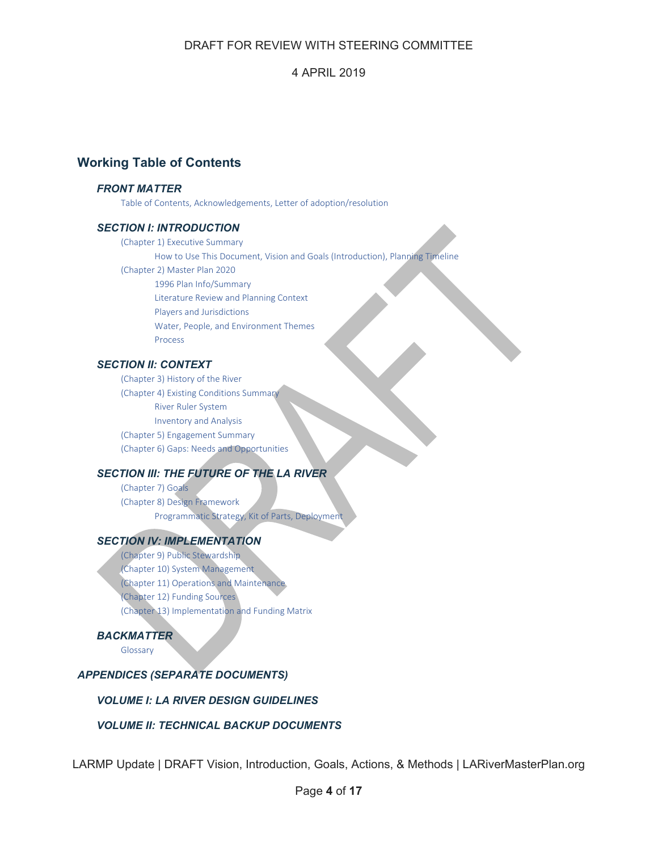# 4 APRIL 2019

# **Working Table of Contents**

### *FRONT MATTER*

Table of Contents, Acknowledgements, Letter of adoption/resolution

### *SECTION I: INTRODUCTION*

(Chapter 1) Executive Summary How to Use This Document, Vision and Goals (Introduction), Planning Timeline (Chapter 2) Master Plan 2020 1996 Plan Info/Summary Literature Review and Planning Context Players and Jurisdictions Water, People, and Environment Themes Process

### *SECTION II: CONTEXT*

(Chapter 3) History of the River (Chapter 4) Existing Conditions Summary River Ruler System Inventory and Analysis (Chapter 5) Engagement Summary (Chapter 6) Gaps: Needs and Opportunities

### *SECTION III: THE FUTURE OF THE LA RIVER*

(Chapter 7) Goals (Chapter 8) Design Framework Programmatic Strategy, Kit of Parts, Deployment

### *SECTION IV: IMPLEMENTATION*

(Chapter 9) Public Stewardship (Chapter 10) System Management (Chapter 11) Operations and Maintenance (Chapter 12) Funding Sources (Chapter 13) Implementation and Funding Matrix

### *BACKMATTER*

Glossary

# *APPENDICES (SEPARATE DOCUMENTS)*

### *VOLUME I: LA RIVER DESIGN GUIDELINES*

### *VOLUME II: TECHNICAL BACKUP DOCUMENTS*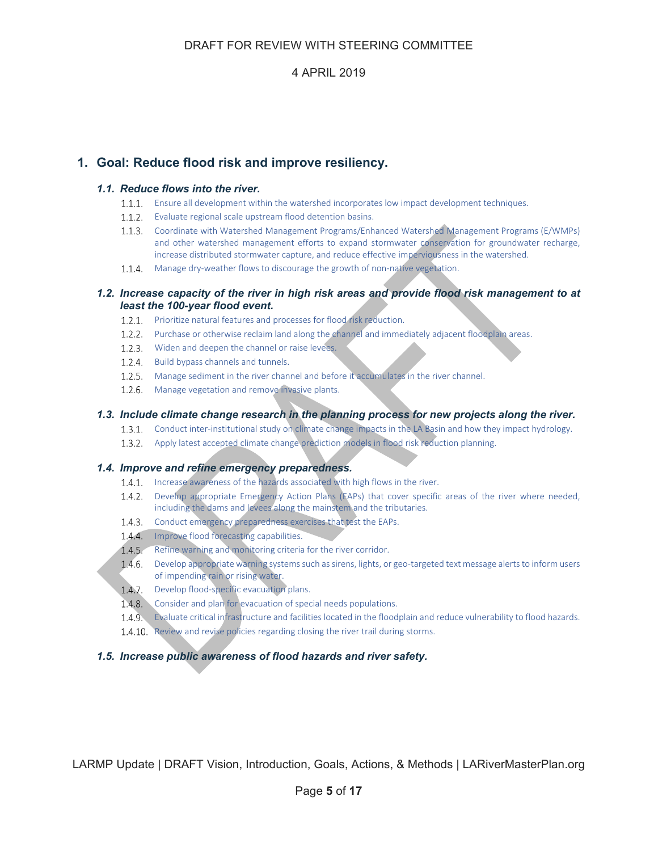# **1. Goal: Reduce flood risk and improve resiliency.**

### *1.1. Reduce flows into the river.*

- 1.1.1. Ensure all development within the watershed incorporates low impact development techniques.
- 1.1.2. Evaluate regional scale upstream flood detention basins.
- Coordinate with Watershed Management Programs/Enhanced Watershed Management Programs (E/WMPs) and other watershed management efforts to expand stormwater conservation for groundwater recharge, increase distributed stormwater capture, and reduce effective imperviousness in the watershed.
- 1.1.4. Manage dry-weather flows to discourage the growth of non-native vegetation.

### *1.2. Increase capacity of the river in high risk areas and provide flood risk management to at least the 100-year flood event.*

- 1.2.1. Prioritize natural features and processes for flood risk reduction.
- 1.2.2. Purchase or otherwise reclaim land along the channel and immediately adjacent floodplain areas.
- 1.2.3. Widen and deepen the channel or raise levees.
- 1.2.4. Build bypass channels and tunnels.
- 1.2.5. Manage sediment in the river channel and before it accumulates in the river channel.
- 1.2.6. Manage vegetation and remove invasive plants.

### *1.3. Include climate change research in the planning process for new projects along the river.*

- 1.3.1. Conduct inter-institutional study on climate change impacts in the LA Basin and how they impact hydrology.
- 1.3.2. Apply latest accepted climate change prediction models in flood risk reduction planning.

### *1.4. Improve and refine emergency preparedness.*

- 1.4.1. Increase awareness of the hazards associated with high flows in the river.
- 1.4.2. Develop appropriate Emergency Action Plans (EAPs) that cover specific areas of the river where needed, including the dams and levees along the mainstem and the tributaries.
- 1.4.3. Conduct emergency preparedness exercises that test the EAPs.
- 1.4.4. Improve flood forecasting capabilities.
- 1.4.5. Refine warning and monitoring criteria for the river corridor.
- 1.4.6. Develop appropriate warning systems such as sirens, lights, or geo-targeted text message alerts to inform users of impending rain or rising water.
- 1.4.7. Develop flood-specific evacuation plans.
- 1.4.8. Consider and plan for evacuation of special needs populations.
- Evaluate critical infrastructure and facilities located in the floodplain and reduce vulnerability to flood hazards.
- 1.4.10. Review and revise policies regarding closing the river trail during storms.

### *1.5. Increase public awareness of flood hazards and river safety.*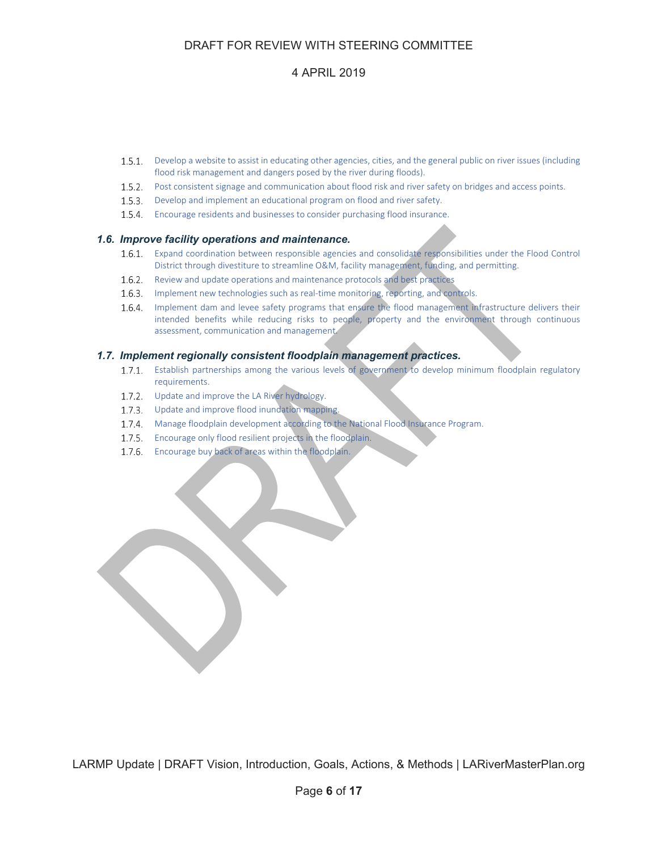# 4 APRIL 2019

- 1.5.1. Develop a website to assist in educating other agencies, cities, and the general public on river issues (including flood risk management and dangers posed by the river during floods).
- 1.5.2. Post consistent signage and communication about flood risk and river safety on bridges and access points.
- 1.5.3. Develop and implement an educational program on flood and river safety.
- 1.5.4. Encourage residents and businesses to consider purchasing flood insurance.

#### *1.6. Improve facility operations and maintenance.*

- Expand coordination between responsible agencies and consolidate responsibilities under the Flood Control District through divestiture to streamline O&M, facility management, funding, and permitting.
- 1.6.2. Review and update operations and maintenance protocols and best practices
- 1.6.3. Implement new technologies such as real-time monitoring, reporting, and controls.
- 1.6.4. Implement dam and levee safety programs that ensure the flood management infrastructure delivers their intended benefits while reducing risks to people, property and the environment through continuous assessment, communication and management.

#### *1.7. Implement regionally consistent floodplain management practices.*

- 1.7.1. Establish partnerships among the various levels of government to develop minimum floodplain regulatory requirements.
- 1.7.2. Update and improve the LA River hydrology.
- 1.7.3. Update and improve flood inundation mapping.
- 1.7.4. Manage floodplain development according to the National Flood Insurance Program.
- 1.7.5. Encourage only flood resilient projects in the floodplain.
- 1.7.6. Encourage buy back of areas within the floodplain.

the contract of the contract of the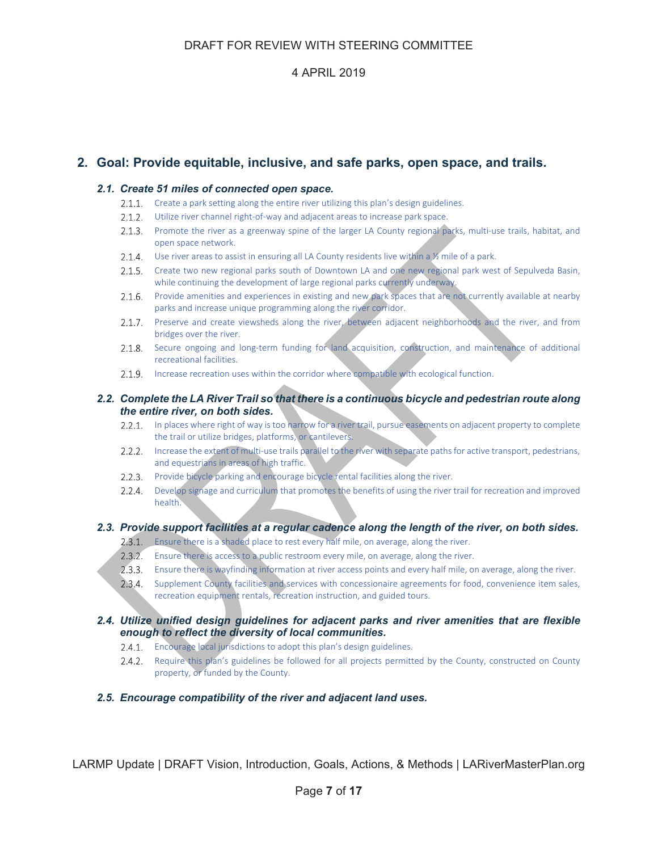# **2. Goal: Provide equitable, inclusive, and safe parks, open space, and trails.**

### *2.1. Create 51 miles of connected open space.*

- 2.1.1. Create a park setting along the entire river utilizing this plan's design guidelines.
- 2.1.2. Utilize river channel right-of-way and adjacent areas to increase park space.
- 2.1.3. Promote the river as a greenway spine of the larger LA County regional parks, multi-use trails, habitat, and open space network.
- 2.1.4. Use river areas to assist in ensuring all LA County residents live within a  $\frac{1}{2}$  mile of a park.
- Create two new regional parks south of Downtown LA and one new regional park west of Sepulveda Basin, while continuing the development of large regional parks currently underway.
- Provide amenities and experiences in existing and new park spaces that are not currently available at nearby parks and increase unique programming along the river corridor.
- 2.1.7. Preserve and create viewsheds along the river, between adjacent neighborhoods and the river, and from bridges over the river.
- 2.1.8. Secure ongoing and long-term funding for land acquisition, construction, and maintenance of additional recreational facilities.
- 2.1.9. Increase recreation uses within the corridor where compatible with ecological function.

### *2.2. Complete the LA River Trail so that there is a continuous bicycle and pedestrian route along the entire river, on both sides.*

- 2.2.1. In places where right of way is too narrow for a river trail, pursue easements on adjacent property to complete the trail or utilize bridges, platforms, or cantilevers.
- 2.2.2. Increase the extent of multi-use trails parallel to the river with separate paths for active transport, pedestrians, and equestrians in areas of high traffic.
- 2.2.3. Provide bicycle parking and encourage bicycle rental facilities along the river.
- Develop signage and curriculum that promotes the benefits of using the river trail for recreation and improved health.

### *2.3. Provide support facilities at a regular cadence along the length of the river, on both sides.*

- 2.3.1. Ensure there is a shaded place to rest every half mile, on average, along the river.
- 2.3.2. Ensure there is access to a public restroom every mile, on average, along the river.
- Ensure there is wayfinding information at river access points and every half mile, on average, along the river.
- 2.3.4. Supplement County facilities and services with concessionaire agreements for food, convenience item sales, recreation equipment rentals, recreation instruction, and guided tours.

### *2.4. Utilize unified design guidelines for adjacent parks and river amenities that are flexible enough to reflect the diversity of local communities.*

- 2.4.1. Encourage local jurisdictions to adopt this plan's design guidelines.
- 2.4.2. Require this plan's guidelines be followed for all projects permitted by the County, constructed on County property, or funded by the County.

### *2.5. Encourage compatibility of the river and adjacent land uses.*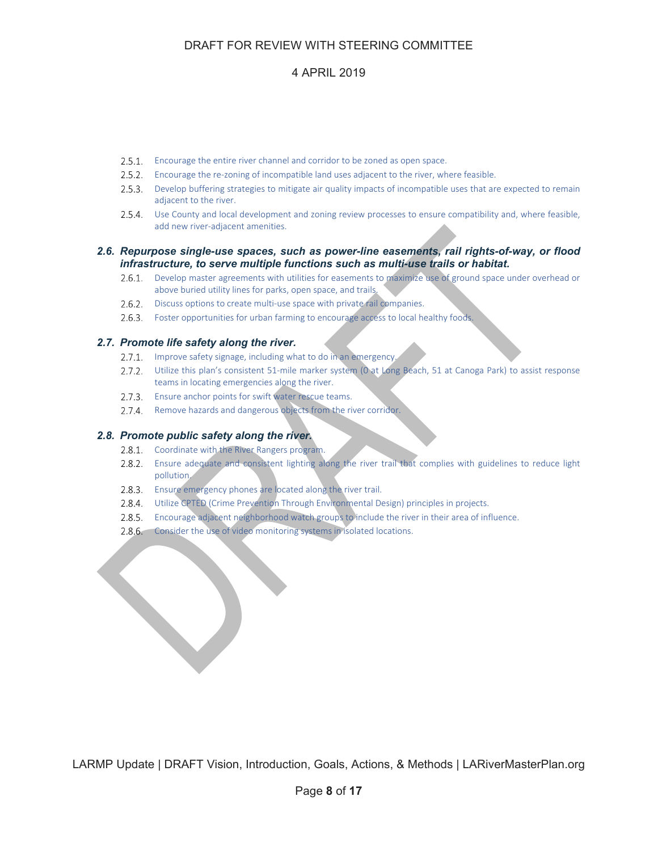# 4 APRIL 2019

- 2.5.1. Encourage the entire river channel and corridor to be zoned as open space.
- 2.5.2. Encourage the re-zoning of incompatible land uses adjacent to the river, where feasible.
- 2.5.3. Develop buffering strategies to mitigate air quality impacts of incompatible uses that are expected to remain adjacent to the river.
- Use County and local development and zoning review processes to ensure compatibility and, where feasible, add new river‐adjacent amenities.

#### *2.6. Repurpose single-use spaces, such as power-line easements, rail rights-of-way, or flood infrastructure, to serve multiple functions such as multi-use trails or habitat.*

- 2.6.1. Develop master agreements with utilities for easements to maximize use of ground space under overhead or above buried utility lines for parks, open space, and trails.
- 2.6.2. Discuss options to create multi-use space with private rail companies.
- 2.6.3. Foster opportunities for urban farming to encourage access to local healthy foods.

### *2.7. Promote life safety along the river.*

- 2.7.1. Improve safety signage, including what to do in an emergency.
- 2.7.2. Utilize this plan's consistent 51-mile marker system (0 at Long Beach, 51 at Canoga Park) to assist response teams in locating emergencies along the river.
- 2.7.3. Ensure anchor points for swift water rescue teams.
- 2.7.4. Remove hazards and dangerous objects from the river corridor.

#### *2.8. Promote public safety along the river.*

- 2.8.1. Coordinate with the River Rangers program.
- 2.8.2. Ensure adequate and consistent lighting along the river trail that complies with guidelines to reduce light pollution.
- 2.8.3. Ensure emergency phones are located along the river trail.
- 2.8.4. Utilize CPTED (Crime Prevention Through Environmental Design) principles in projects.
- Encourage adjacent neighborhood watch groups to include the river in their area of influence.
- 2.8.6. Consider the use of video monitoring systems in isolated locations.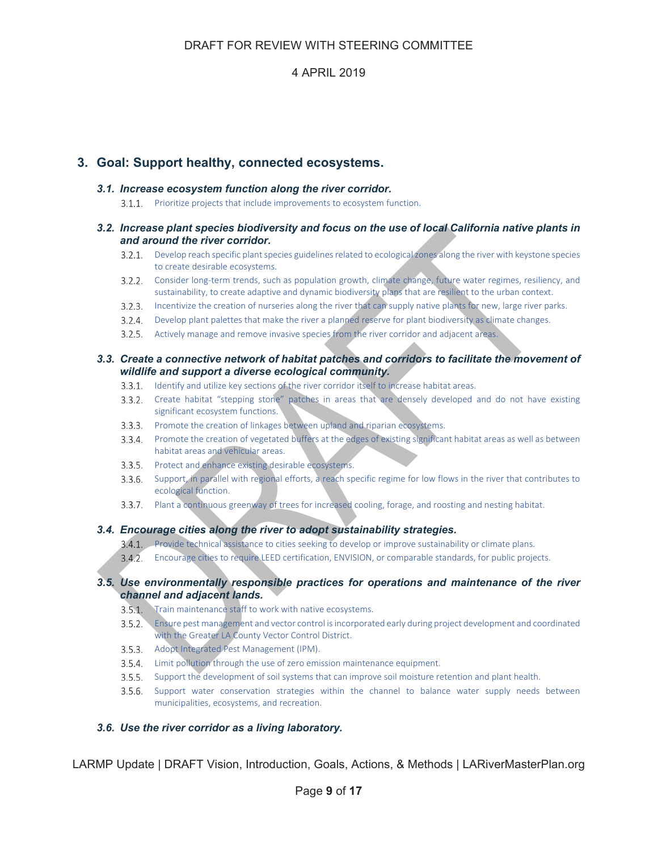# **3. Goal: Support healthy, connected ecosystems.**

### *3.1. Increase ecosystem function along the river corridor.*

3.1.1. Prioritize projects that include improvements to ecosystem function.

#### *3.2. Increase plant species biodiversity and focus on the use of local California native plants in and around the river corridor.*

- 3.2.1. Develop reach specific plant species guidelines related to ecological zones along the river with keystone species to create desirable ecosystems.
- 3.2.2. Consider long-term trends, such as population growth, climate change, future water regimes, resiliency, and sustainability, to create adaptive and dynamic biodiversity plans that are resilient to the urban context.
- Incentivize the creation of nurseries along the river that can supply native plants for new, large river parks.
- Develop plant palettes that make the river a planned reserve for plant biodiversity as climate changes.
- Actively manage and remove invasive species from the river corridor and adjacent areas.

#### *3.3. Create a connective network of habitat patches and corridors to facilitate the movement of wildlife and support a diverse ecological community.*

- 3.3.1. Identify and utilize key sections of the river corridor itself to increase habitat areas.
- Create habitat "stepping stone" patches in areas that are densely developed and do not have existing significant ecosystem functions.
- 3.3.3. Promote the creation of linkages between upland and riparian ecosystems.
- Promote the creation of vegetated buffers at the edges of existing significant habitat areas as well as between habitat areas and vehicular areas.
- 3.3.5. Protect and enhance existing desirable ecosystems.
- Support, in parallel with regional efforts, a reach specific regime for low flows in the river that contributes to ecological function.
- Plant a continuous greenway of trees for increased cooling, forage, and roosting and nesting habitat.

### *3.4. Encourage cities along the river to adopt sustainability strategies.*

- 3.4.1. Provide technical assistance to cities seeking to develop or improve sustainability or climate plans.
- Encourage cities to require LEED certification, ENVISION, or comparable standards, for public projects.

### *3.5. Use environmentally responsible practices for operations and maintenance of the river channel and adjacent lands.*

- 3.5.1. Train maintenance staff to work with native ecosystems.
- Ensure pest management and vector control isincorporated early during project development and coordinated with the Greater LA County Vector Control District.
- 3.5.3. Adopt Integrated Pest Management (IPM).
- 3.5.4. Limit pollution through the use of zero emission maintenance equipment.
- Support the development of soil systems that can improve soil moisture retention and plant health.
- 3.5.6. Support water conservation strategies within the channel to balance water supply needs between municipalities, ecosystems, and recreation.

### *3.6. Use the river corridor as a living laboratory.*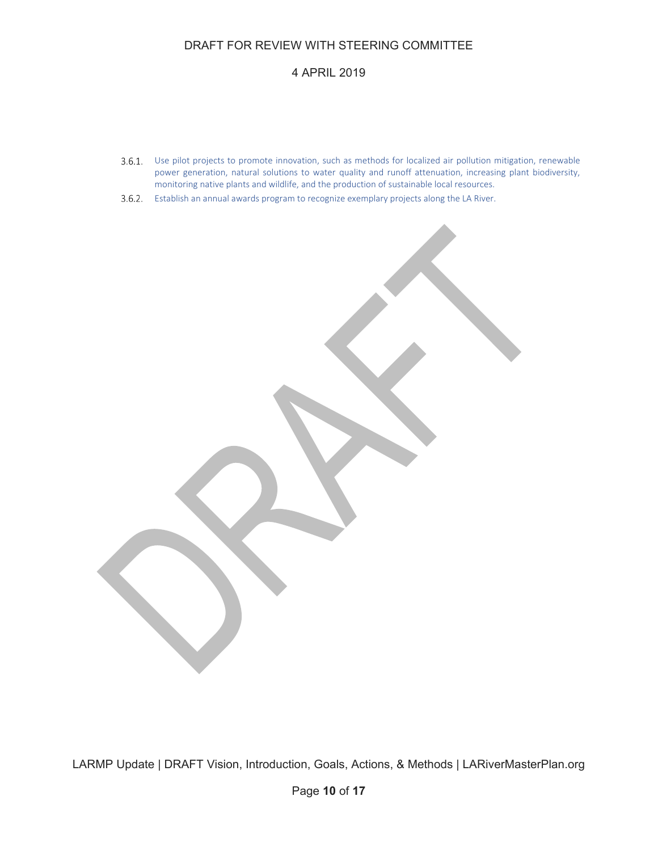# 4 APRIL 2019

- Use pilot projects to promote innovation, such as methods for localized air pollution mitigation, renewable power generation, natural solutions to water quality and runoff attenuation, increasing plant biodiversity, monitoring native plants and wildlife, and the production of sustainable local resources.
- 3.6.2. Establish an annual awards program to recognize exemplary projects along the LA River.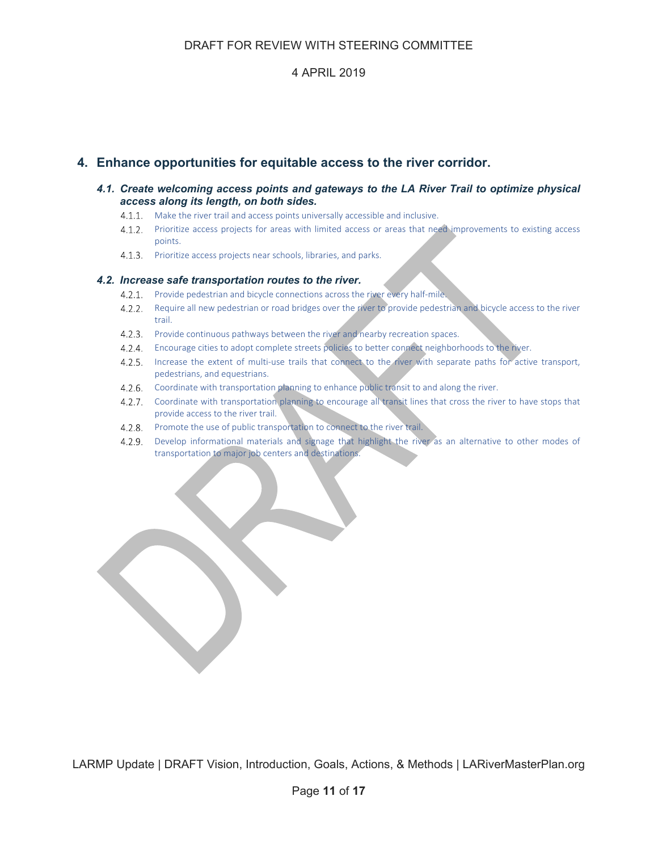# **4. Enhance opportunities for equitable access to the river corridor.**

### *4.1. Create welcoming access points and gateways to the LA River Trail to optimize physical access along its length, on both sides.*

- 4.1.1. Make the river trail and access points universally accessible and inclusive.
- 4.1.2. Prioritize access projects for areas with limited access or areas that need improvements to existing access points.
- 4.1.3. Prioritize access projects near schools, libraries, and parks.

### *4.2. Increase safe transportation routes to the river.*

- 4.2.1. Provide pedestrian and bicycle connections across the river every half-mile.
- 4.2.2. Require all new pedestrian or road bridges over the river to provide pedestrian and bicycle access to the river trail.
- 4.2.3. Provide continuous pathways between the river and nearby recreation spaces.
- Encourage cities to adopt complete streets policies to better connect neighborhoods to the river.
- 4.2.5. Increase the extent of multi-use trails that connect to the river with separate paths for active transport, pedestrians, and equestrians.
- 4.2.6. Coordinate with transportation planning to enhance public transit to and along the river.
- Coordinate with transportation planning to encourage all transit lines that cross the river to have stops that provide access to the river trail.
- 4.2.8. Promote the use of public transportation to connect to the river trail.
- 4.2.9. Develop informational materials and signage that highlight the river as an alternative to other modes of transportation to major job centers and destinations.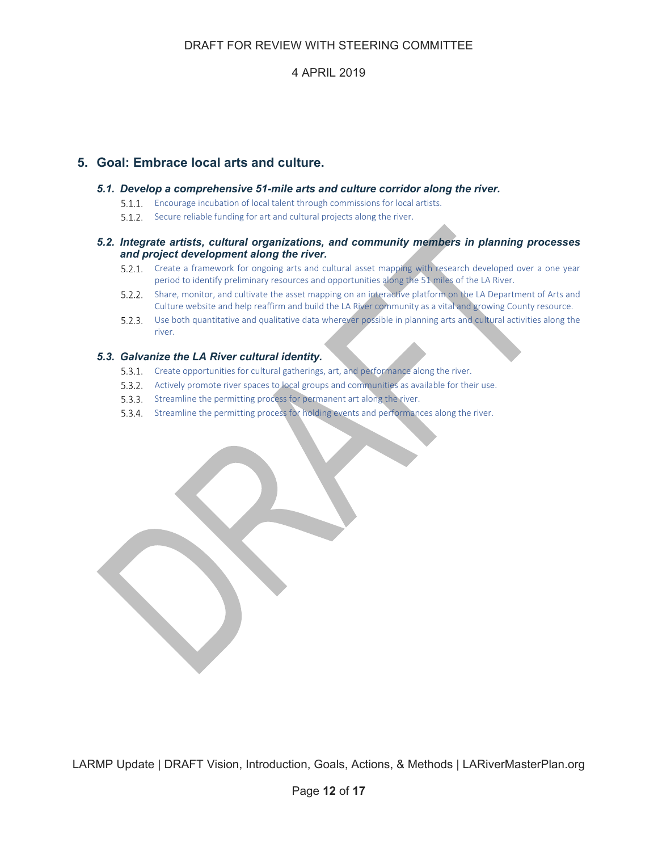# **5. Goal: Embrace local arts and culture.**

#### *5.1. Develop a comprehensive 51-mile arts and culture corridor along the river.*

- Encourage incubation of local talent through commissions for local artists.
- 5.1.2. Secure reliable funding for art and cultural projects along the river.

### *5.2. Integrate artists, cultural organizations, and community members in planning processes and project development along the river.*

- 5.2.1. Create a framework for ongoing arts and cultural asset mapping with research developed over a one year period to identify preliminary resources and opportunities along the 51 miles of the LA River.
- 5.2.2. Share, monitor, and cultivate the asset mapping on an interactive platform on the LA Department of Arts and Culture website and help reaffirm and build the LA River community as a vital and growing County resource.
- Use both quantitative and qualitative data wherever possible in planning arts and cultural activities along the river.

### *5.3. Galvanize the LA River cultural identity.*

- 5.3.1. Create opportunities for cultural gatherings, art, and performance along the river.
- 5.3.2. Actively promote river spaces to local groups and communities as available for their use.
- 5.3.3. Streamline the permitting process for permanent art along the river.
- Streamline the permitting process for holding events and performances along the river.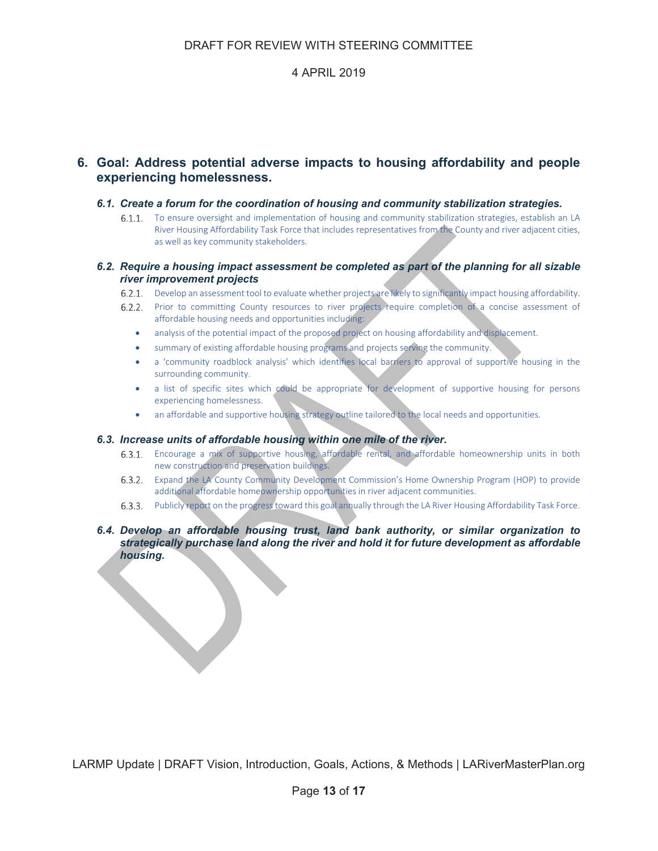# **6. Goal: Address potential adverse impacts to housing affordability and people experiencing homelessness.**

### *6.1. Create a forum for the coordination of housing and community stabilization strategies.*

6.1.1. To ensure oversight and implementation of housing and community stabilization strategies, establish an LA River Housing Affordability Task Force that includes representatives from the County and river adjacent cities, as well as key community stakeholders.

### *6.2. Require a housing impact assessment be completed as part of the planning for all sizable river improvement projects*

- Develop an assessment tool to evaluate whether projects are likely to significantly impact housing affordability.
- 6.2.2. Prior to committing County resources to river projects require completion of a concise assessment of affordable housing needs and opportunities including:
	- analysis of the potential impact of the proposed project on housing affordability and displacement.
	- summary of existing affordable housing programs and projects serving the community.
	- a 'community roadblock analysis' which identifies local barriers to approval of supportive housing in the surrounding community.
	- a list of specific sites which could be appropriate for development of supportive housing for persons experiencing homelessness.
	- an affordable and supportive housing strategy outline tailored to the local needs and opportunities.

#### *6.3. Increase units of affordable housing within one mile of the river.*

- Encourage a mix of supportive housing, affordable rental, and affordable homeownership units in both new construction and preservation buildings.
- Expand the LA County Community Development Commission's Home Ownership Program (HOP) to provide additional affordable homeownership opportunities in river adjacent communities.
- Publicly report on the progresstoward this goal annually through the LA River Housing Affordability Task Force.

### *6.4. Develop an affordable housing trust, land bank authority, or similar organization to strategically purchase land along the river and hold it for future development as affordable housing.*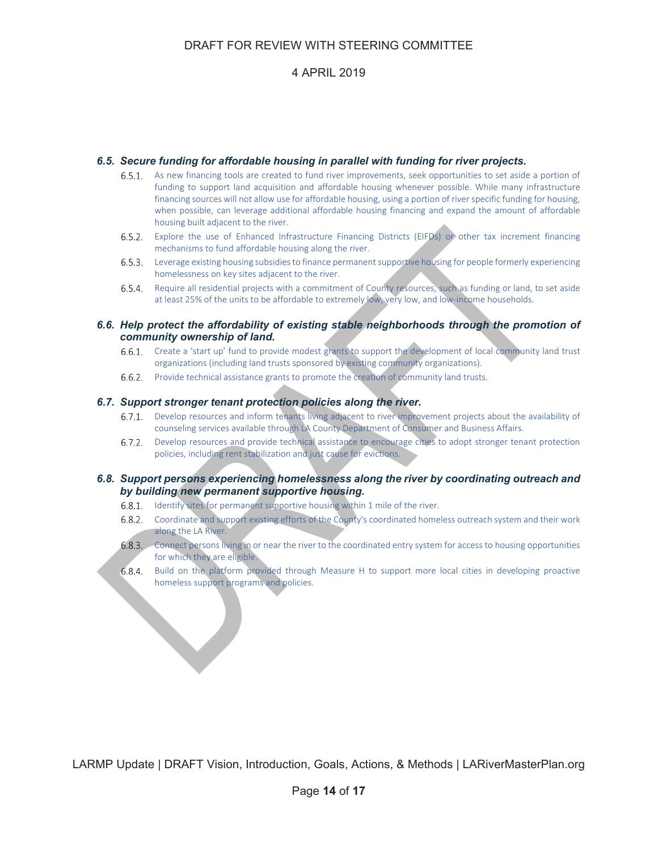# 4 APRIL 2019

#### *6.5. Secure funding for affordable housing in parallel with funding for river projects.*

- As new financing tools are created to fund river improvements, seek opportunities to set aside a portion of  $6.5.1.$ funding to support land acquisition and affordable housing whenever possible. While many infrastructure financing sources will not allow use for affordable housing, using a portion of river specific funding for housing, when possible, can leverage additional affordable housing financing and expand the amount of affordable housing built adjacent to the river.
- Explore the use of Enhanced Infrastructure Financing Districts (EIFDs) or other tax increment financing mechanisms to fund affordable housing along the river.
- Leverage existing housing subsidiesto finance permanentsupportive housing for people formerly experiencing homelessness on key sites adjacent to the river.
- 6.5.4. Require all residential projects with a commitment of County resources, such as funding or land, to set aside at least 25% of the units to be affordable to extremely low, very low, and low-income households.

#### *6.6. Help protect the affordability of existing stable neighborhoods through the promotion of community ownership of land.*

- 6.6.1. Create a 'start up' fund to provide modest grants to support the development of local community land trust organizations (including land trusts sponsored by existing community organizations).
- 6.6.2. Provide technical assistance grants to promote the creation of community land trusts.

#### *6.7. Support stronger tenant protection policies along the river.*

- 6.7.1. Develop resources and inform tenants living adjacent to river improvement projects about the availability of counseling services available through LA County Department of Consumer and Business Affairs.
- $6.7.2.$ Develop resources and provide technical assistance to encourage cities to adopt stronger tenant protection policies, including rent stabilization and just cause for evictions.

#### *6.8. Support persons experiencing homelessness along the river by coordinating outreach and by building new permanent supportive housing.*

- 6.8.1. Identify sites for permanent supportive housing within 1 mile of the river.
- Coordinate and support existing efforts of the County's coordinated homeless outreach system and their work along the LA River.
- Connect persons living in or near the river to the coordinated entry system for access to housing opportunities for which they are eligible.
- Build on the platform provided through Measure H to support more local cities in developing proactive homeless support programs and policies.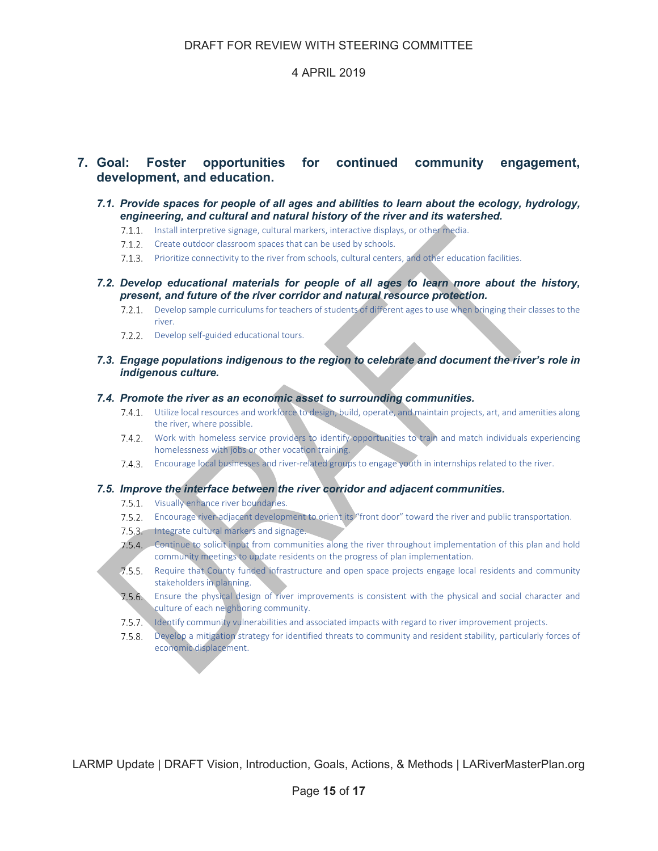# **7. Goal: Foster opportunities for continued community engagement, development, and education.**

#### *7.1. Provide spaces for people of all ages and abilities to learn about the ecology, hydrology, engineering, and cultural and natural history of the river and its watershed.*

- 7.1.1. Install interpretive signage, cultural markers, interactive displays, or other media.
- 7.1.2. Create outdoor classroom spaces that can be used by schools.
- Prioritize connectivity to the river from schools, cultural centers, and other education facilities.
- *7.2. Develop educational materials for people of all ages to learn more about the history, present, and future of the river corridor and natural resource protection.* 
	- Develop sample curriculumsfor teachers of students of different ages to use when bringing their classes to the river.
	- 7.2.2. Develop self-guided educational tours.

### *7.3. Engage populations indigenous to the region to celebrate and document the river's role in indigenous culture.*

#### *7.4. Promote the river as an economic asset to surrounding communities.*

- Utilize local resources and workforce to design, build, operate, and maintain projects, art, and amenities along the river, where possible.
- 7.4.2. Work with homeless service providers to identify opportunities to train and match individuals experiencing homelessness with jobs or other vocation training.
- Encourage local businesses and river‐related groups to engage youth in internships related to the river.

#### *7.5. Improve the interface between the river corridor and adjacent communities.*

- 7.5.1. Visually enhance river boundaries.
- Encourage river‐adjacent development to orient its "front door" toward the river and public transportation.
- 7.5.3. Integrate cultural markers and signage.
- 7.5.4. Continue to solicit input from communities along the river throughout implementation of this plan and hold community meetings to update residents on the progress of plan implementation.
- Require that County funded infrastructure and open space projects engage local residents and community stakeholders in planning.
- $7.5.6.$ Ensure the physical design of river improvements is consistent with the physical and social character and culture of each neighboring community.
- 7.5.7. Identify community vulnerabilities and associated impacts with regard to river improvement projects.
- Develop a mitigation strategy for identified threats to community and resident stability, particularly forces of economic displacement.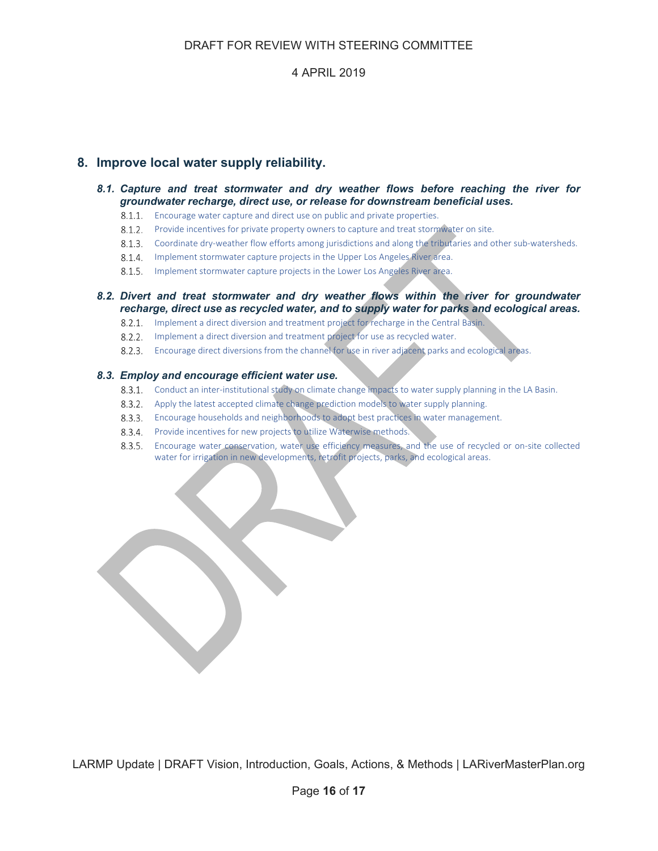# **8. Improve local water supply reliability.**

#### *8.1. Capture and treat stormwater and dry weather flows before reaching the river for groundwater recharge, direct use, or release for downstream beneficial uses.*

- 8.1.1. Encourage water capture and direct use on public and private properties.
- 8.1.2. Provide incentives for private property owners to capture and treat stormwater on site.
- 8.1.3. Coordinate dry-weather flow efforts among jurisdictions and along the tributaries and other sub-watersheds.
- 8.1.4. Implement stormwater capture projects in the Upper Los Angeles River area.
- 8.1.5. Implement stormwater capture projects in the Lower Los Angeles River area.

### *8.2. Divert and treat stormwater and dry weather flows within the river for groundwater recharge, direct use as recycled water, and to supply water for parks and ecological areas.*

- 8.2.1. Implement a direct diversion and treatment project for recharge in the Central Basin.
- 8.2.2. Implement a direct diversion and treatment project for use as recycled water.
- Encourage direct diversions from the channel for use in river adjacent parks and ecological areas.

#### *8.3. Employ and encourage efficient water use.*

- 8.3.1. Conduct an inter-institutional study on climate change impacts to water supply planning in the LA Basin.
- 8.3.2. Apply the latest accepted climate change prediction models to water supply planning.
- Encourage households and neighborhoods to adopt best practices in water management.
- 8.3.4. Provide incentives for new projects to utilize Waterwise methods.
- 8.3.5. Encourage water conservation, water use efficiency measures, and the use of recycled or on-site collected water for irrigation in new developments, retrofit projects, parks, and ecological areas.